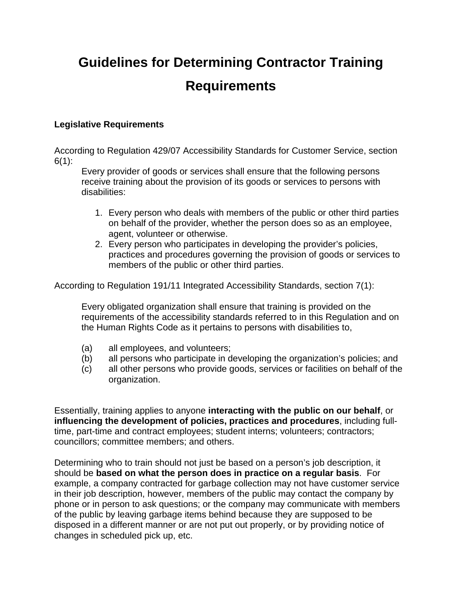# **Guidelines for Determining Contractor Training Requirements**

#### **Legislative Requirements**

According to Regulation 429/07 Accessibility Standards for Customer Service, section  $6(1)$ :

Every provider of goods or services shall ensure that the following persons receive training about the provision of its goods or services to persons with disabilities:

- 1. Every person who deals with members of the public or other third parties on behalf of the provider, whether the person does so as an employee, agent, volunteer or otherwise.
- 2. Every person who participates in developing the provider's policies, practices and procedures governing the provision of goods or services to members of the public or other third parties.

According to Regulation 191/11 Integrated Accessibility Standards, section 7(1):

Every obligated organization shall ensure that training is provided on the requirements of the accessibility standards referred to in this Regulation and on the Human Rights Code as it pertains to persons with disabilities to,

- (a) all employees, and volunteers;
- (b) all persons who participate in developing the organization's policies; and
- (c) all other persons who provide goods, services or facilities on behalf of the organization.

Essentially, training applies to anyone **interacting with the public on our behalf**, or **influencing the development of policies, practices and procedures**, including fulltime, part-time and contract employees; student interns; volunteers; contractors; councillors; committee members; and others.

Determining who to train should not just be based on a person's job description, it should be **based on what the person does in practice on a regular basis**. For example, a company contracted for garbage collection may not have customer service in their job description, however, members of the public may contact the company by phone or in person to ask questions; or the company may communicate with members of the public by leaving garbage items behind because they are supposed to be disposed in a different manner or are not put out properly, or by providing notice of changes in scheduled pick up, etc.